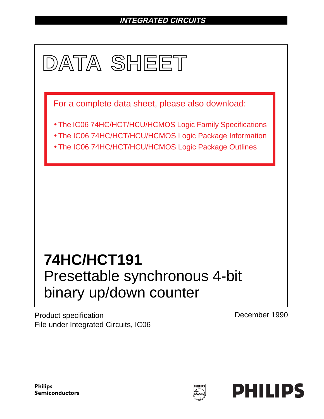# **INTEGRATED CIRCUITS**



Product specification File under Integrated Circuits, IC06 December 1990

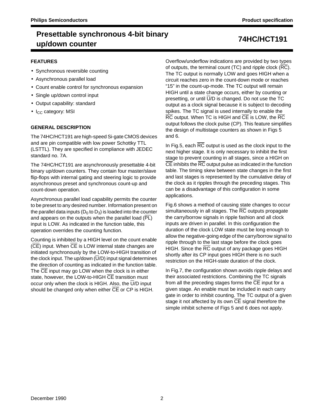## **Presettable synchronous 4-bit binary up/down counter 74HC/HCT191**

### **FEATURES**

- Synchronous reversible counting
- Asynchronous parallel load
- Count enable control for synchronous expansion
- Single up/down control input
- Output capability: standard
- $\bullet$  I<sub>CC</sub> category: MSI

### **GENERAL DESCRIPTION**

The 74HC/HCT191 are high-speed Si-gate CMOS devices and are pin compatible with low power Schottky TTL (LSTTL). They are specified in compliance with JEDEC standard no. 7A.

The 74HC/HCT191 are asynchronously presettable 4-bit binary up/down counters. They contain four master/slave flip-flops with internal gating and steering logic to provide asynchronous preset and synchronous count-up and count-down operation.

Asynchronous parallel load capability permits the counter to be preset to any desired number. Information present on the parallel data inputs ( $D_0$  to  $D_3$ ) is loaded into the counter and appears on the outputs when the parallel load (PL) input is LOW. As indicated in the function table, this operation overrides the counting function.

Counting is inhibited by a HIGH level on the count enable (CE) input. When CE is LOW internal state changes are initiated synchronously by the LOW-to-HIGH transition of the clock input. The up/down  $(\overline{U}/D)$  input signal determines the direction of counting as indicated in the function table. The CE input may go LOW when the clock is in either state, however, the LOW-to-HIGH CE transition must occur only when the clock is HIGH. Also, the U/D input should be changed only when either CE or CP is HIGH.

Overflow/underflow indications are provided by two types of outputs, the terminal count (TC) and ripple clock  $(\overline{RC})$ . The TC output is normally LOW and goes HIGH when a circuit reaches zero in the count-down mode or reaches "15" in the count-up-mode. The TC output will remain HIGH until a state change occurs, either by counting or presetting, or until  $\overline{U}/D$  is changed. Do not use the TC output as a clock signal because it is subject to decoding spikes. The TC signal is used internally to enable the RC output. When TC is HIGH and CE is LOW, the RC output follows the clock pulse (CP). This feature simplifies the design of multistage counters as shown in Figs 5 and 6.

In Fig.5, each  $\overline{RC}$  output is used as the clock input to the next higher stage. It is only necessary to inhibit the first stage to prevent counting in all stages, since a HIGH on  $\overline{CE}$  inhibits the  $\overline{RC}$  output pulse as indicated in the function table. The timing skew between state changes in the first and last stages is represented by the cumulative delay of the clock as it ripples through the preceding stages. This can be a disadvantage of this configuration in some applications.

Fig.6 shows a method of causing state changes to occur simultaneously in all stages. The RC outputs propagate the carry/borrow signals in ripple fashion and all clock inputs are driven in parallel. In this configuration the duration of the clock LOW state must be long enough to allow the negative-going edge of the carry/borrow signal to ripple through to the last stage before the clock goes HIGH. Since the RC output of any package goes HIGH shortly after its CP input goes HIGH there is no such restriction on the HIGH-state duration of the clock.

In Fig.7, the configuration shown avoids ripple delays and their associated restrictions. Combining the TC signals from all the preceding stages forms the CE input for a given stage. An enable must be included in each carry gate in order to inhibit counting. The TC output of a given stage it not affected by its own CE signal therefore the simple inhibit scheme of Figs 5 and 6 does not apply.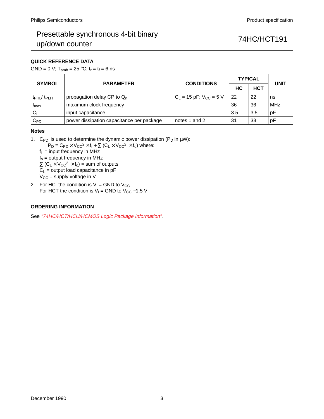### **QUICK REFERENCE DATA**

GND = 0 V;  $T_{amb}$  = 25 °C;  $t_r = t_f = 6$  ns

| <b>SYMBOL</b>                 | <b>PARAMETER</b>                          | <b>CONDITIONS</b>             | <b>TYPICAL</b> | <b>UNIT</b> |            |  |
|-------------------------------|-------------------------------------------|-------------------------------|----------------|-------------|------------|--|
|                               |                                           |                               | HC.            | <b>HCT</b>  |            |  |
| $t_{\rm PHL}$ / $t_{\rm PLH}$ | propagation delay CP to $Q_n$             | $C_1 = 15$ pF; $V_{CC} = 5$ V | 22             | 22          | ns         |  |
| I <sub>max</sub>              | maximum clock frequency                   |                               | 36             | 36          | <b>MHz</b> |  |
| $C_1$                         | input capacitance                         |                               | 3.5            | 3.5         | рF         |  |
| $\mathtt{C_{PD}}$             | power dissipation capacitance per package | notes 1 and 2                 | 31             | 33          | рF         |  |

### **Notes**

1. C<sub>PD</sub> is used to determine the dynamic power dissipation (P<sub>D</sub> in  $\mu$ W):

 $P_D = C_{PD} \times V_{CC}^2 \times f_i + \sum (C_L \times V_{CC}^2 \times f_o)$  where:

 $f_i$  = input frequency in MHz  $f_0$  = output frequency in MHz

 $\Sigma$  (C<sub>L</sub> × V<sub>CC</sub><sup>2</sup> × f<sub>o</sub>) = sum of outputs

 $C_L$  = output load capacitance in pF

 $V_{CC}$  = supply voltage in V

2. For HC the condition is  $V_1 =$  GND to  $V_{CC}$ For HCT the condition is  $V_1$  = GND to  $V_{CC}$  –1.5 V

### **ORDERING INFORMATION**

See "74HC/HCT/HCU/HCMOS Logic Package Information".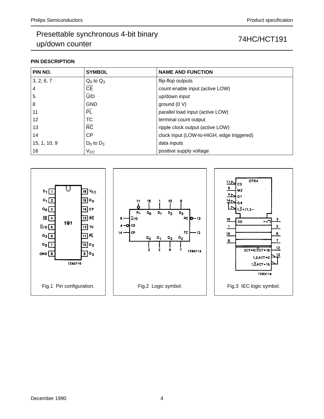### **PIN DESCRIPTION**

| PIN NO.        | <b>SYMBOL</b>          | <b>NAME AND FUNCTION</b>                  |
|----------------|------------------------|-------------------------------------------|
| 3, 2, 6, 7     | $Q_0$ to $Q_3$         | flip-flop outputs                         |
| $\overline{4}$ | $\overline{\text{CE}}$ | count enable input (active LOW)           |
| 5              | U/D                    | up/down input                             |
| 8              | <b>GND</b>             | ground $(0 V)$                            |
| 11             | $\overline{PL}$        | parallel load input (active LOW)          |
| 12             | ТC                     | terminal count output                     |
| 13             | $\overline{RC}$        | ripple clock output (active LOW)          |
| 14             | <b>CP</b>              | clock input (LOW-to-HIGH, edge triggered) |
| 15, 1, 10, 9   | $D_0$ to $D_3$         | data inputs                               |
| 16             | Vcc                    | positive supply voltage                   |

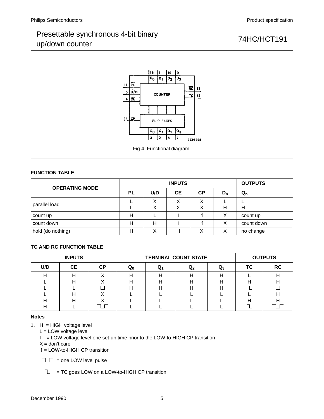

### **FUNCTION TABLE**

| <b>OPERATING MODE</b> |           |        | <b>OUTPUTS</b> |           |       |            |
|-----------------------|-----------|--------|----------------|-----------|-------|------------|
|                       | <b>PL</b> | U/D    | CE             | <b>CP</b> | $D_n$ | $Q_{n}$    |
| parallel load         |           | Х<br>Χ | Χ<br>Х         | Χ<br>∧    | Н     | Н          |
| count up              | Н         |        |                |           | Х     | count up   |
| count down            | н         | Н      |                | ᄉ         | х     | count down |
| hold (do nothing)     | Н         |        | н              | ⋏         | Χ     | no change  |

### **TC AND RC FUNCTION TABLE**

|     | <b>INPUTS</b> |    |    | <b>TERMINAL COUNT STATE</b> | <b>OUTPUTS</b> |    |                 |
|-----|---------------|----|----|-----------------------------|----------------|----|-----------------|
| U/D | <b>CE</b>     | СP | u۵ | Q                           | Q3             | ТС | $\overline{RC}$ |
|     |               |    |    |                             |                |    |                 |
|     |               |    |    |                             |                |    |                 |
|     |               |    |    |                             |                |    |                 |
|     |               |    |    |                             |                |    |                 |
|     |               |    |    |                             |                |    |                 |
|     |               |    |    |                             |                |    |                 |

### **Notes**

1.  $H = HIGH$  voltage level

L = LOW voltage level

I = LOW voltage level one set-up time prior to the LOW-to-HIGH CP transition

 $X =$  don't care

↑ = LOW-to-HIGH CP transition

 $T_{\text{max}}$  = one LOW level pulse

 $\mathbb{L}$  = TC goes LOW on a LOW-to-HIGH CP transition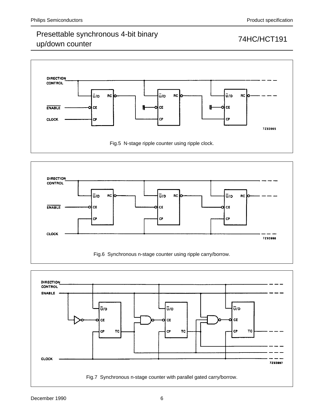## Presettable synchronous 4-bit binary Procedulate cynemology Polytemary<br>up/down counter 74HC/HCT191





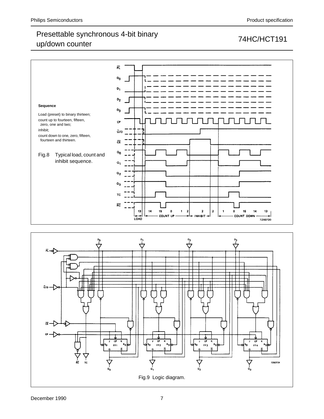

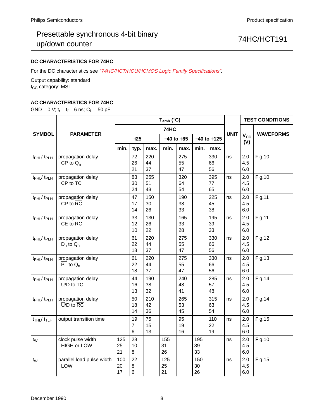## Presettable synchronous 4-bit binary Procedulate cynemology Polytemary<br>up/down counter 74HC/HCT191

### **DC CHARACTERISTICS FOR 74HC**

For the DC characteristics see "74HC/HCT/HCU/HCMOS Logic Family Specifications".

Output capability: standard I<sub>CC</sub> category: MSI

### **AC CHARACTERISTICS FOR 74HC**

GND = 0 V;  $t_r = t_f = 6$  ns;  $C_L = 50$  pF

|                                         | <b>PARAMETER</b>                                         |                 |                            |                 | $T_{amb}$ ( $°C$ ) |                 | <b>TEST CONDITIONS</b> |                 |             |                              |                  |
|-----------------------------------------|----------------------------------------------------------|-----------------|----------------------------|-----------------|--------------------|-----------------|------------------------|-----------------|-------------|------------------------------|------------------|
|                                         |                                                          |                 |                            |                 | 74HC               |                 |                        |                 |             |                              |                  |
| <b>SYMBOL</b>                           |                                                          | $+25$           |                            |                 | $-40$ to $+85$     |                 | $-40$ to $+125$        |                 | <b>UNIT</b> | <b>V<sub>cc</sub></b><br>(V) | <b>WAVEFORMS</b> |
|                                         |                                                          | min.            | typ.                       | max.            | min.               | max.            | min.                   | max.            |             |                              |                  |
| $t_{\rm PHL}$ / $t_{\rm PLH}$           | propagation delay<br>$CP$ to $Q_n$                       |                 | 72<br>26<br>21             | 220<br>44<br>37 |                    | 275<br>55<br>47 |                        | 330<br>66<br>56 | ns          | 2.0<br>4.5<br>6.0            | <b>Fig.10</b>    |
| t <sub>PHL</sub> /t <sub>PLH</sub>      | propagation delay<br>CP to TC                            |                 | 83<br>30<br>24             | 255<br>51<br>43 |                    | 320<br>64<br>54 |                        | 395<br>77<br>65 | ns          | 2.0<br>4.5<br>6.0            | <b>Fig.10</b>    |
| t <sub>PHL</sub> /t <sub>PLH</sub>      | propagation delay<br>$CP$ to $\overline{RC}$             |                 | 47<br>17<br>14             | 150<br>30<br>26 |                    | 190<br>38<br>33 |                        | 225<br>45<br>38 | ns          | 2.0<br>4.5<br>6.0            | <b>Fig.11</b>    |
| $t_{\rm PHL}$ / $t_{\rm PLH}$           | propagation delay<br>$\overline{CE}$ to $\overline{RC}$  |                 | 33<br>12<br>10             | 130<br>26<br>22 |                    | 165<br>33<br>28 |                        | 195<br>39<br>33 | ns          | 2.0<br>4.5<br>6.0            | <b>Fig.11</b>    |
| $t_{\rm PHL}$ / $t_{\rm PLH}$           | propagation delay<br>$D_n$ to $Q_n$                      |                 | 61<br>22<br>18             | 220<br>44<br>37 |                    | 275<br>55<br>47 |                        | 330<br>66<br>56 | ns          | 2.0<br>4.5<br>6.0            | <b>Fig.12</b>    |
| t <sub>PHL</sub> / t <sub>PLH</sub>     | propagation delay<br>$\overline{PL}$ to $Q_n$            |                 | 61<br>22<br>18             | 220<br>44<br>37 |                    | 275<br>55<br>47 |                        | 330<br>66<br>56 | ns          | 2.0<br>4.5<br>6.0            | <b>Fig.13</b>    |
| t <sub>PHL</sub> /t <sub>PLH</sub>      | propagation delay<br>$\overline{U}/D$ to TC              |                 | 44<br>16<br>13             | 190<br>38<br>32 |                    | 240<br>48<br>41 |                        | 285<br>57<br>48 | ns          | 2.0<br>4.5<br>6.0            | <b>Fig.14</b>    |
| $t_{\rm PHL}$ / $t_{\rm PLH}$           | propagation delay<br>$\overline{U}/D$ to $\overline{RC}$ |                 | 50<br>18<br>14             | 210<br>42<br>36 |                    | 265<br>53<br>45 |                        | 315<br>63<br>54 | ns          | 2.0<br>4.5<br>6.0            | <b>Fig.14</b>    |
| $t$ <sub>THL</sub> / $t$ <sub>TLH</sub> | output transition time                                   |                 | 19<br>7<br>6               | 75<br>15<br>13  |                    | 95<br>19<br>16  |                        | 110<br>22<br>19 | ns          | 2.0<br>4.5<br>6.0            | <b>Fig.15</b>    |
| $t_{W}$                                 | clock pulse width<br><b>HIGH or LOW</b>                  | 125<br>25<br>21 | 28<br>10<br>8              |                 | 155<br>31<br>26    |                 | 195<br>39<br>33        |                 | ns          | 2.0<br>4.5<br>6.0            | <b>Fig.10</b>    |
| $t_{\rm W}$                             | parallel load pulse width<br>LOW                         | 100<br>20<br>17 | 22<br>8<br>$6\phantom{1}6$ |                 | 125<br>25<br>21    |                 | 150<br>30<br>26        |                 | ns          | 2.0<br>4.5<br>6.0            | <b>Fig.15</b>    |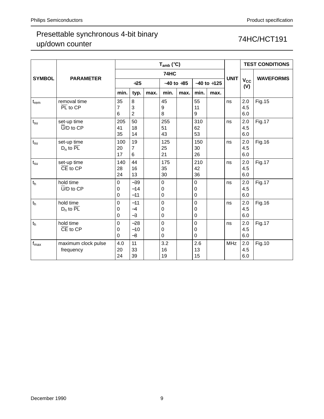|                  |                                                    |                                 |                          |      | $T_{amb}$ (°C)        |      | <b>TEST CONDITIONS</b> |      |             |                                 |                  |
|------------------|----------------------------------------------------|---------------------------------|--------------------------|------|-----------------------|------|------------------------|------|-------------|---------------------------------|------------------|
|                  |                                                    |                                 |                          |      | 74HC                  |      |                        |      |             |                                 |                  |
| <b>SYMBOL</b>    | <b>PARAMETER</b>                                   | $+25$                           |                          |      | $-40$ to $+85$        |      | $-40$ to $+125$        |      | <b>UNIT</b> | $\mathsf{v}_\mathsf{cc}$<br>(V) | <b>WAVEFORMS</b> |
|                  |                                                    | min.                            | typ.                     | max. | min.                  | max. | min.                   | max. |             |                                 |                  |
| t <sub>rem</sub> | removal time<br>$\overline{PL}$ to $\overline{CP}$ | 35<br>7<br>6                    | 8<br>3<br>$\overline{2}$ |      | 45<br>9<br>8          |      | 55<br>11<br>9          |      | ns          | 2.0<br>4.5<br>6.0               | <b>Fig.15</b>    |
| $t_{\rm su}$     | set-up time<br>$\overline{U}/D$ to $\overline{CP}$ | 205<br>41<br>35                 | 50<br>18<br>14           |      | 255<br>51<br>43       |      | 310<br>62<br>53        |      | ns          | 2.0<br>4.5<br>6.0               | <b>Fig.17</b>    |
| $t_{\rm su}$     | set-up time<br>$D_n$ to $\overline{PL}$            | 100<br>20<br>17                 | 19<br>7<br>6             |      | 125<br>25<br>21       |      | 150<br>30<br>26        |      | ns          | 2.0<br>4.5<br>6.0               | Fig. 16          |
| $t_{\rm su}$     | set-up time<br>$\overline{CE}$ to $\overline{CP}$  | 140<br>28<br>24                 | 44<br>16<br>13           |      | 175<br>35<br>30       |      | 210<br>42<br>36        |      | ns          | 2.0<br>4.5<br>6.0               | <b>Fig.17</b>    |
| $t_h$            | hold time<br>$\overline{U}/D$ to $\overline{CP}$   | $\mathbf 0$<br>$\mathbf 0$<br>0 | $-39$<br>$-14$<br>$-11$  |      | $\mathbf 0$<br>0<br>0 |      | 0<br>0<br>0            |      | ns          | 2.0<br>4.5<br>6.0               | <b>Fig.17</b>    |
| t <sub>h</sub>   | hold time<br>$D_n$ to $\overline{PL}$              | $\Omega$<br>0<br>0              | $-11$<br>$-4$<br>$-3$    |      | 0<br>0<br>0           |      | 0<br>0<br>0            |      | ns          | 2.0<br>4.5<br>6.0               | Fig. 16          |
| $t_h$            | hold time<br>$\overline{CE}$ to $\overline{CP}$    | $\mathbf 0$<br>0<br>$\mathbf 0$ | $-28$<br>$-10$<br>$-8$   |      | 0<br>0<br>0           |      | 0<br>0<br>0            |      | ns          | 2.0<br>4.5<br>6.0               | <b>Fig.17</b>    |
| $f_{\text{max}}$ | maximum clock pulse<br>frequency                   | 4.0<br>20<br>24                 | 11<br>33<br>39           |      | 3.2<br>16<br>19       |      | 2.6<br>13<br>15        |      | <b>MHz</b>  | 2.0<br>4.5<br>6.0               | Fig.10           |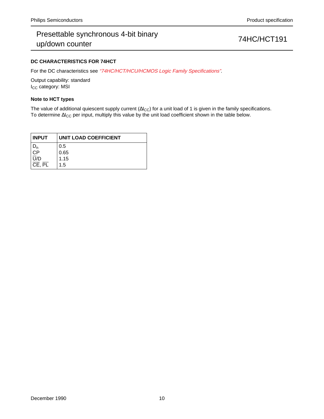### **DC CHARACTERISTICS FOR 74HCT**

For the DC characteristics see "74HC/HCT/HCU/HCMOS Logic Family Specifications".

Output capability: standard I<sub>CC</sub> category: MSI

### **Note to HCT types**

The value of additional quiescent supply current ( $\Delta I_{CC}$ ) for a unit load of 1 is given in the family specifications. To determine ∆I<sub>CC</sub> per input, multiply this value by the unit load coefficient shown in the table below.

| <b>INPUT</b> | UNIT LOAD COEFFICIENT |
|--------------|-----------------------|
|              | 0.5                   |
| םי           | 0.65                  |
| U/D          | 1.15                  |
| CE, PL       | 1.5                   |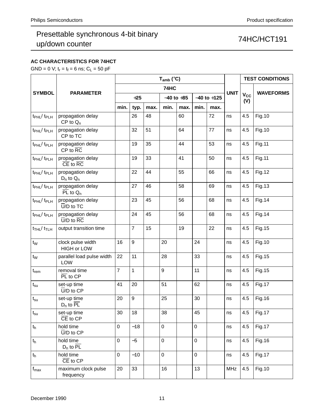### **AC CHARACTERISTICS FOR 74HCT**

GND = 0 V;  $t_r = t_f = 6$  ns;  $C_L = 50$  pF

|                                         |                                                          | $T_{amb}$ (°C)   |                |      |             |                |           |                 |             |                     | <b>TEST CONDITIONS</b> |
|-----------------------------------------|----------------------------------------------------------|------------------|----------------|------|-------------|----------------|-----------|-----------------|-------------|---------------------|------------------------|
|                                         |                                                          | 74HC             |                |      |             |                |           |                 | <b>UNIT</b> |                     |                        |
| <b>SYMBOL</b>                           | <b>PARAMETER</b>                                         |                  | $+25$          |      |             | $-40$ to $+85$ |           | $-40$ to $+125$ |             | $V_{\rm CC}$<br>(V) | <b>WAVEFORMS</b>       |
|                                         |                                                          | min.             | typ.           | max. | min.        | max.           | min.      | max.            |             |                     |                        |
| t <sub>PHL</sub> /t <sub>PLH</sub>      | propagation delay<br>$CP$ to $Q_n$                       |                  | 26             | 48   |             | 60             |           | 72              | ns          | 4.5                 | <b>Fig.10</b>          |
| t <sub>PHL</sub> /t <sub>PLH</sub>      | propagation delay<br>CP to TC                            |                  | 32             | 51   |             | 64             |           | 77              | ns          | 4.5                 | <b>Fig.10</b>          |
| t <sub>PHL</sub> / t <sub>PLH</sub>     | propagation delay<br>$CP$ to $\overline{RC}$             |                  | 19             | 35   |             | 44             |           | 53              | ns          | 4.5                 | <b>Fig.11</b>          |
| t <sub>PHL</sub> / t <sub>PLH</sub>     | propagation delay<br>$\overline{CE}$ to $\overline{RC}$  |                  | 19             | 33   |             | 41             |           | 50              | ns          | 4.5                 | <b>Fig.11</b>          |
| t <sub>PHL</sub> /t <sub>PLH</sub>      | propagation delay<br>$D_n$ to $Q_n$                      |                  | 22             | 44   |             | 55             |           | 66              | ns          | 4.5                 | <b>Fig.12</b>          |
| t <sub>PHL</sub> / t <sub>PLH</sub>     | propagation delay<br>$\overline{PL}$ to $Q_n$            |                  | 27             | 46   |             | 58             |           | 69              | ns          | 4.5                 | <b>Fig.13</b>          |
| t <sub>PHL</sub> / t <sub>PLH</sub>     | propagation delay<br>$\overline{U}/D$ to TC              |                  | 23             | 45   |             | 56             |           | 68              | ns          | 4.5                 | <b>Fig.14</b>          |
| t <sub>PHL</sub> / t <sub>PLH</sub>     | propagation delay<br>$\overline{U}/D$ to $\overline{RC}$ |                  | 24             | 45   |             | 56             |           | 68              | ns          | 4.5                 | <b>Fig.14</b>          |
| $t$ <sub>THL</sub> / $t$ <sub>TLH</sub> | output transition time                                   |                  | $\overline{7}$ | 15   |             | 19             |           | 22              | ns          | 4.5                 | Fig. 15                |
| $t_{\rm W}$                             | clock pulse width<br><b>HIGH or LOW</b>                  | 16               | 9              |      | 20          |                | 24        |                 | ns          | 4.5                 | <b>Fig.10</b>          |
| $t_W$                                   | parallel load pulse width<br>LOW                         | 22               | 11             |      | 28          |                | 33        |                 | ns          | 4.5                 | <b>Fig.15</b>          |
| $t_{rem}$                               | removal time<br>$\overline{PL}$ to $\overline{CP}$       | $\overline{7}$   | $\mathbf{1}$   |      | 9           |                | 11        |                 | ns          | 4.5                 | <b>Fig.15</b>          |
| $t_{\rm su}$                            | set-up time<br>$\overline{U}/D$ to $CP$                  | 41               | 20             |      | 51          |                | 62        |                 | ns          | 4.5                 | <b>Fig.17</b>          |
| $t_{\rm su}$                            | set-up time<br>$D_n$ to PL                               | 20               | 9              |      | 25          |                | 30        |                 | ns          | 4.5                 | Fig. 16                |
| $\mathfrak{t}_{\text{su}}$              | set-up time<br>$\overline{CE}$ to $\overline{CP}$        | 30               | 18             |      | 38          |                | 45        |                 | ns          |                     | 4.5   Fig.17           |
| $t_h$                                   | hold time<br>$\overline{U}/D$ to $\overline{CP}$         | $\mathsf 0$      | $-18$          |      | $\mathbf 0$ |                | $\pmb{0}$ |                 | ns          | 4.5                 | Fig. 17                |
| $t_h$                                   | hold time<br>$D_n$ to $\overline{PL}$                    | $\mathbf 0$      | $-5$           |      | $\mathbf 0$ |                | $\pmb{0}$ |                 | ns          | 4.5                 | Fig. 16                |
| t <sub>h</sub>                          | hold time<br>$\overline{CE}$ to $\overline{CP}$          | $\boldsymbol{0}$ | $-10$          |      | $\mathbf 0$ |                | $\pmb{0}$ |                 | ns          | 4.5                 | Fig. 17                |
| $f_{\sf max}$                           | maximum clock pulse<br>frequency                         | 20               | 33             |      | 16          |                | 13        |                 | MHz         | 4.5                 | <b>Fig.10</b>          |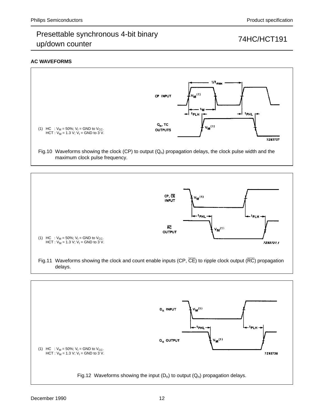### **AC WAVEFORMS**







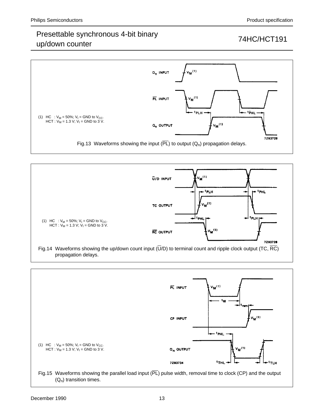## Presettable synchronous 4-bit binary up/down counter The Counter Counter 1 and 24HC/HCT191